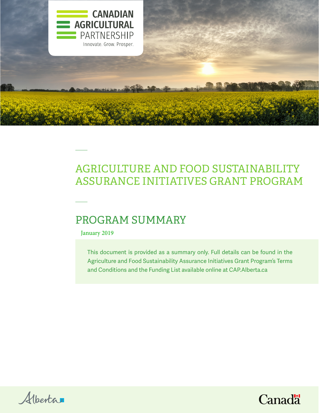

# AGRICULTURE AND FOOD SUSTAINABILITY ASSURANCE INITIATIVES GRANT PROGRAM

## PROGRAM SUMMARY

January 2019

This document is provided as a summary only. Full details can be found in the Agriculture and Food Sustainability Assurance Initiatives Grant Program's Terms and Conditions and the Funding List available online at CAP.Alberta.ca



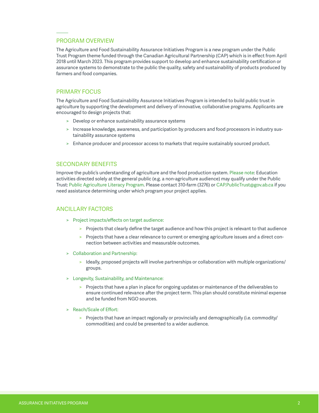#### PROGRAM OVERVIEW

The Agriculture and Food Sustainability Assurance Initiatives Program is a new program under the Public Trust Program theme funded through the Canadian Agricultural Partnership (CAP) which is in effect from April 2018 until March 2023. This program provides support to develop and enhance sustainability certification or assurance systems to demonstrate to the public the quality, safety and sustainability of products produced by farmers and food companies.

## PRIMARY FOCUS

The Agriculture and Food Sustainability Assurance Initiatives Program is intended to build public trust in agriculture by supporting the development and delivery of innovative, collaborative programs. Applicants are encouraged to design projects that:

- > Develop or enhance sustainability assurance systems
- > Increase knowledge, awareness, and participation by producers and food processors in industry sustainability assurance systems
- > Enhance producer and processor access to markets that require sustainably sourced product.

#### SECONDARY BENEFITS

Improve the public's understanding of agriculture and the food production system. Please note: Education activities directed solely at the general public (e.g. a non-agriculture audience) may qualify under the Public Trust: Public Agriculture Literacy Program. Please contact 310-farm (3276) or CAP.PublicTrust@gov.ab.ca if you need assistance determining under which program your project applies.

#### ANCILLARY FACTORS

- > Project impacts/effects on target audience:
	- > Projects that clearly define the target audience and how this project is relevant to that audience
	- > Projects that have a clear relevance to current or emerging agriculture issues and a direct connection between activities and measurable outcomes.
- > Collaboration and Partnership:
	- > Ideally, proposed projects will involve partnerships or collaboration with multiple organizations/ groups.
- > Longevity, Sustainability, and Maintenance:
	- > Projects that have a plan in place for ongoing updates or maintenance of the deliverables to ensure continued relevance after the project term. This plan should constitute minimal expense and be funded from NGO sources.
- > Reach/Scale of Effort:
	- > Projects that have an impact regionally or provincially and demographically (i.e. commodity/ commodities) and could be presented to a wider audience.